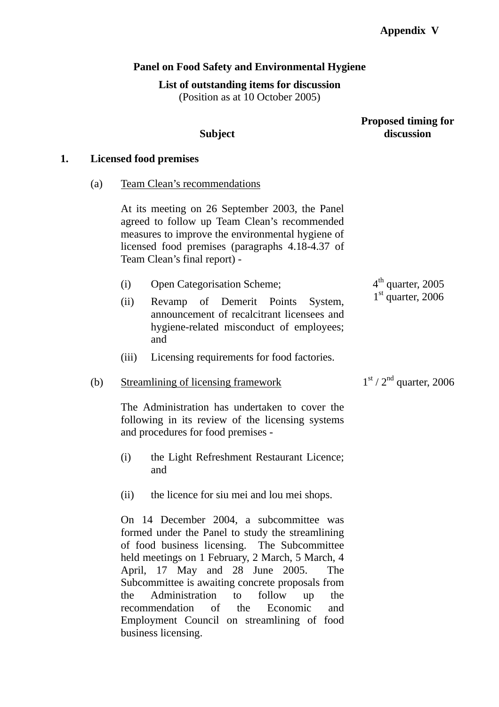# **Panel on Food Safety and Environmental Hygiene**

## **List of outstanding items for discussion**

(Position as at 10 October 2005)

**Subject** 

## **Proposed timing for discussion**

 $1<sup>st</sup> / 2<sup>nd</sup>$  quarter, 2006

## **1. Licensed food premises**

(a) Team Clean's recommendations

At its meeting on 26 September 2003, the Panel agreed to follow up Team Clean's recommended measures to improve the environmental hygiene of licensed food premises (paragraphs 4.18-4.37 of Team Clean's final report) -

|      | <b>Open Categorisation Scheme;</b> |  | $4th$ quarter, 2005 |  |  |                     |
|------|------------------------------------|--|---------------------|--|--|---------------------|
| (ii) | Revamp of Demerit Points System,   |  |                     |  |  | $1st$ quarter, 2006 |

- announcement of recalcitrant licensees and hygiene-related misconduct of employees; and
- (iii) Licensing requirements for food factories.

## (b) Streamlining of licensing framework

The Administration has undertaken to cover the following in its review of the licensing systems and procedures for food premises -

- (i) the Light Refreshment Restaurant Licence; and
- (ii) the licence for siu mei and lou mei shops.

On 14 December 2004, a subcommittee was formed under the Panel to study the streamlining of food business licensing. The Subcommittee held meetings on 1 February, 2 March, 5 March, 4 April, 17 May and 28 June 2005. The Subcommittee is awaiting concrete proposals from the Administration to follow up the recommendation of the Economic and Employment Council on streamlining of food business licensing.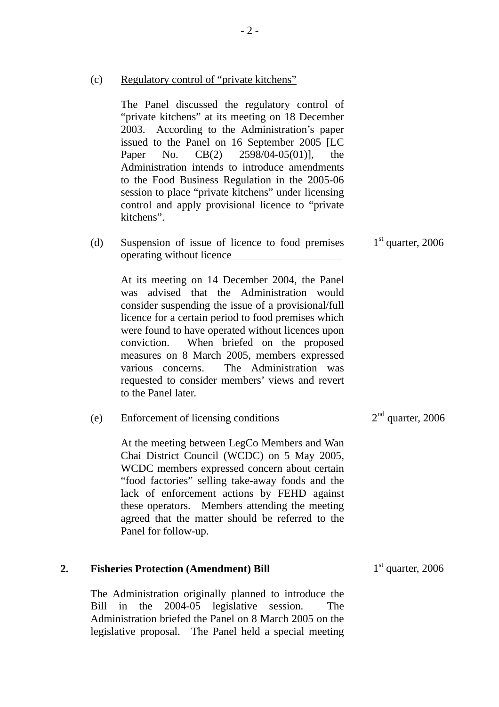(c) Regulatory control of "private kitchens"

The Panel discussed the regulatory control of "private kitchens" at its meeting on 18 December 2003. According to the Administration's paper issued to the Panel on 16 September 2005 [LC Paper No. CB(2) 2598/04-05(01)], the Administration intends to introduce amendments to the Food Business Regulation in the 2005-06 session to place "private kitchens" under licensing control and apply provisional licence to "private kitchens".

(d) Suspension of issue of licence to food premises operating without licence  $1<sup>st</sup>$  quarter, 2006

At its meeting on 14 December 2004, the Panel was advised that the Administration would consider suspending the issue of a provisional/full licence for a certain period to food premises which were found to have operated without licences upon conviction. When briefed on the proposed measures on 8 March 2005, members expressed various concerns. The Administration was requested to consider members' views and revert to the Panel later.

| (e) | <b>Enforcement of licensing conditions</b>       | $2nd$ quarter, 2006 |
|-----|--------------------------------------------------|---------------------|
|     | At the meeting between LegCo Members and Wan     |                     |
|     | Chai District Council (WCDC) on 5 May 2005,      |                     |
|     | WCDC members expressed concern about certain     |                     |
|     | "food factories" selling take-away foods and the |                     |
|     | lack of enforcement actions by FEHD against      |                     |
|     | these operators. Members attending the meeting   |                     |
|     | agreed that the matter should be referred to the |                     |
|     | Panel for follow-up.                             |                     |

#### **2. Fisheries Protection (Amendment) Bill**

The Administration originally planned to introduce the Bill in the 2004-05 legislative session. The Administration briefed the Panel on 8 March 2005 on the legislative proposal. The Panel held a special meeting  $1<sup>st</sup>$  quarter, 2006

 $2<sup>nd</sup>$  quarter, 2006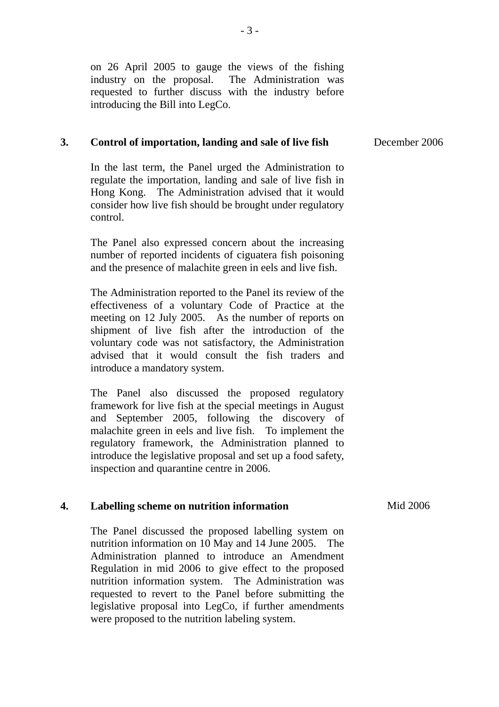on 26 April 2005 to gauge the views of the fishing industry on the proposal. The Administration was requested to further discuss with the industry before introducing the Bill into LegCo.

#### **3. Control of importation, landing and sale of live fish**

In the last term, the Panel urged the Administration to regulate the importation, landing and sale of live fish in Hong Kong. The Administration advised that it would consider how live fish should be brought under regulatory control.

The Panel also expressed concern about the increasing number of reported incidents of ciguatera fish poisoning and the presence of malachite green in eels and live fish.

The Administration reported to the Panel its review of the effectiveness of a voluntary Code of Practice at the meeting on 12 July 2005. As the number of reports on shipment of live fish after the introduction of the voluntary code was not satisfactory, the Administration advised that it would consult the fish traders and introduce a mandatory system.

The Panel also discussed the proposed regulatory framework for live fish at the special meetings in August and September 2005, following the discovery of malachite green in eels and live fish. To implement the regulatory framework, the Administration planned to introduce the legislative proposal and set up a food safety, inspection and quarantine centre in 2006.

#### **4. Labelling scheme on nutrition information**

The Panel discussed the proposed labelling system on nutrition information on 10 May and 14 June 2005. The Administration planned to introduce an Amendment Regulation in mid 2006 to give effect to the proposed nutrition information system. The Administration was requested to revert to the Panel before submitting the legislative proposal into LegCo, if further amendments were proposed to the nutrition labeling system.

Mid 2006

December 2006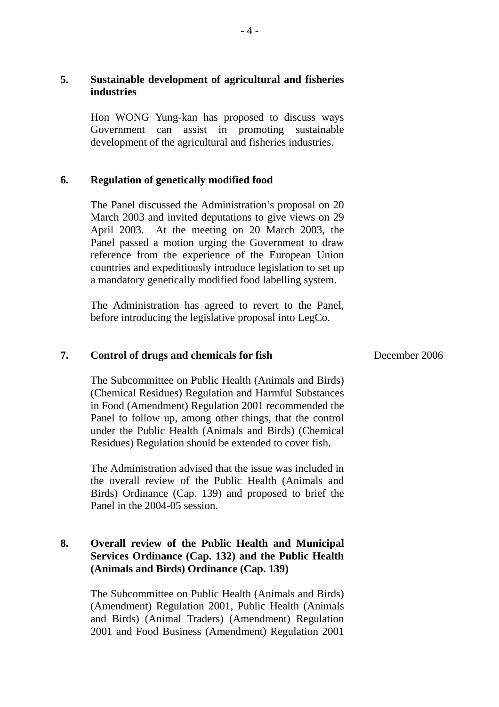# **5. Sustainable development of agricultural and fisheries industries**

Hon WONG Yung-kan has proposed to discuss ways Government can assist in promoting sustainable development of the agricultural and fisheries industries.

### **6. Regulation of genetically modified food**

The Panel discussed the Administration's proposal on 20 March 2003 and invited deputations to give views on 29 April 2003. At the meeting on 20 March 2003, the Panel passed a motion urging the Government to draw reference from the experience of the European Union countries and expeditiously introduce legislation to set up a mandatory genetically modified food labelling system.

The Administration has agreed to revert to the Panel, before introducing the legislative proposal into LegCo.

#### **7. Control of drugs and chemicals for fish**

The Subcommittee on Public Health (Animals and Birds) (Chemical Residues) Regulation and Harmful Substances in Food (Amendment) Regulation 2001 recommended the Panel to follow up, among other things, that the control under the Public Health (Animals and Birds) (Chemical Residues) Regulation should be extended to cover fish.

The Administration advised that the issue was included in the overall review of the Public Health (Animals and Birds) Ordinance (Cap. 139) and proposed to brief the Panel in the 2004-05 session.

## **8. Overall review of the Public Health and Municipal Services Ordinance (Cap. 132) and the Public Health (Animals and Birds) Ordinance (Cap. 139)**

The Subcommittee on Public Health (Animals and Birds) (Amendment) Regulation 2001, Public Health (Animals and Birds) (Animal Traders) (Amendment) Regulation 2001 and Food Business (Amendment) Regulation 2001

December 2006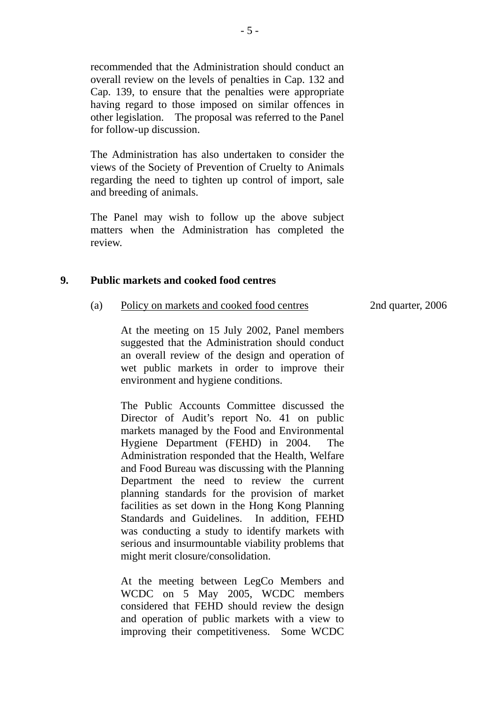recommended that the Administration should conduct an overall review on the levels of penalties in Cap. 132 and Cap. 139, to ensure that the penalties were appropriate having regard to those imposed on similar offences in other legislation. The proposal was referred to the Panel for follow-up discussion.

The Administration has also undertaken to consider the views of the Society of Prevention of Cruelty to Animals regarding the need to tighten up control of import, sale and breeding of animals.

The Panel may wish to follow up the above subject matters when the Administration has completed the review.

#### **9. Public markets and cooked food centres**

(a) Policy on markets and cooked food centres

2nd quarter, 2006

At the meeting on 15 July 2002, Panel members suggested that the Administration should conduct an overall review of the design and operation of wet public markets in order to improve their environment and hygiene conditions.

The Public Accounts Committee discussed the Director of Audit's report No. 41 on public markets managed by the Food and Environmental Hygiene Department (FEHD) in 2004. The Administration responded that the Health, Welfare and Food Bureau was discussing with the Planning Department the need to review the current planning standards for the provision of market facilities as set down in the Hong Kong Planning Standards and Guidelines. In addition, FEHD was conducting a study to identify markets with serious and insurmountable viability problems that might merit closure/consolidation.

At the meeting between LegCo Members and WCDC on 5 May 2005, WCDC members considered that FEHD should review the design and operation of public markets with a view to improving their competitiveness. Some WCDC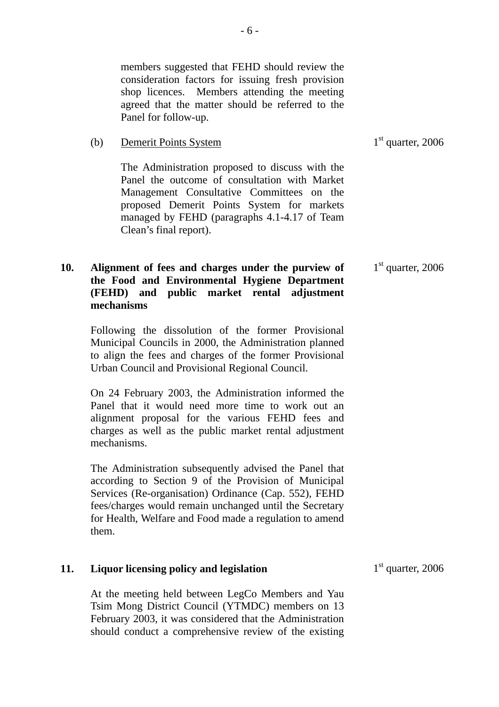members suggested that FEHD should review the consideration factors for issuing fresh provision shop licences. Members attending the meeting agreed that the matter should be referred to the Panel for follow-up.

(b) Demerit Points System

The Administration proposed to discuss with the Panel the outcome of consultation with Market Management Consultative Committees on the proposed Demerit Points System for markets managed by FEHD (paragraphs 4.1-4.17 of Team Clean's final report).

## **10. Alignment of fees and charges under the purview of the Food and Environmental Hygiene Department (FEHD) and public market rental adjustment mechanisms**

Following the dissolution of the former Provisional Municipal Councils in 2000, the Administration planned to align the fees and charges of the former Provisional Urban Council and Provisional Regional Council.

On 24 February 2003, the Administration informed the Panel that it would need more time to work out an alignment proposal for the various FEHD fees and charges as well as the public market rental adjustment mechanisms.

The Administration subsequently advised the Panel that according to Section 9 of the Provision of Municipal Services (Re-organisation) Ordinance (Cap. 552), FEHD fees/charges would remain unchanged until the Secretary for Health, Welfare and Food made a regulation to amend them.

## **11. Liquor licensing policy and legislation**

At the meeting held between LegCo Members and Yau Tsim Mong District Council (YTMDC) members on 13 February 2003, it was considered that the Administration should conduct a comprehensive review of the existing  $1<sup>st</sup>$  quarter, 2006

 $1<sup>st</sup>$  quarter, 2006

 $1<sup>st</sup>$  quarter, 2006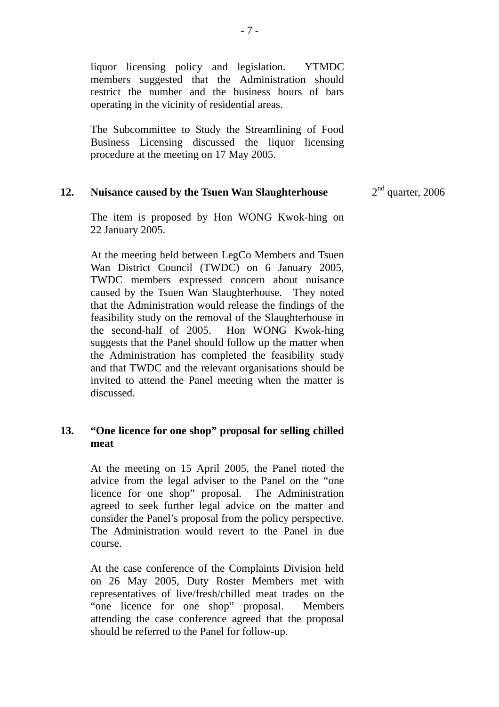liquor licensing policy and legislation. YTMDC members suggested that the Administration should restrict the number and the business hours of bars operating in the vicinity of residential areas.

The Subcommittee to Study the Streamlining of Food Business Licensing discussed the liquor licensing procedure at the meeting on 17 May 2005.

#### **12. Nuisance caused by the Tsuen Wan Slaughterhouse**   $2<sup>nd</sup>$  quarter, 2006

The item is proposed by Hon WONG Kwok-hing on 22 January 2005.

At the meeting held between LegCo Members and Tsuen Wan District Council (TWDC) on 6 January 2005, TWDC members expressed concern about nuisance caused by the Tsuen Wan Slaughterhouse. They noted that the Administration would release the findings of the feasibility study on the removal of the Slaughterhouse in the second-half of 2005. Hon WONG Kwok-hing suggests that the Panel should follow up the matter when the Administration has completed the feasibility study and that TWDC and the relevant organisations should be invited to attend the Panel meeting when the matter is discussed.

# **13. "One licence for one shop" proposal for selling chilled meat**

At the meeting on 15 April 2005, the Panel noted the advice from the legal adviser to the Panel on the "one licence for one shop" proposal. The Administration agreed to seek further legal advice on the matter and consider the Panel's proposal from the policy perspective. The Administration would revert to the Panel in due course.

At the case conference of the Complaints Division held on 26 May 2005, Duty Roster Members met with representatives of live/fresh/chilled meat trades on the "one licence for one shop" proposal. Members attending the case conference agreed that the proposal should be referred to the Panel for follow-up.